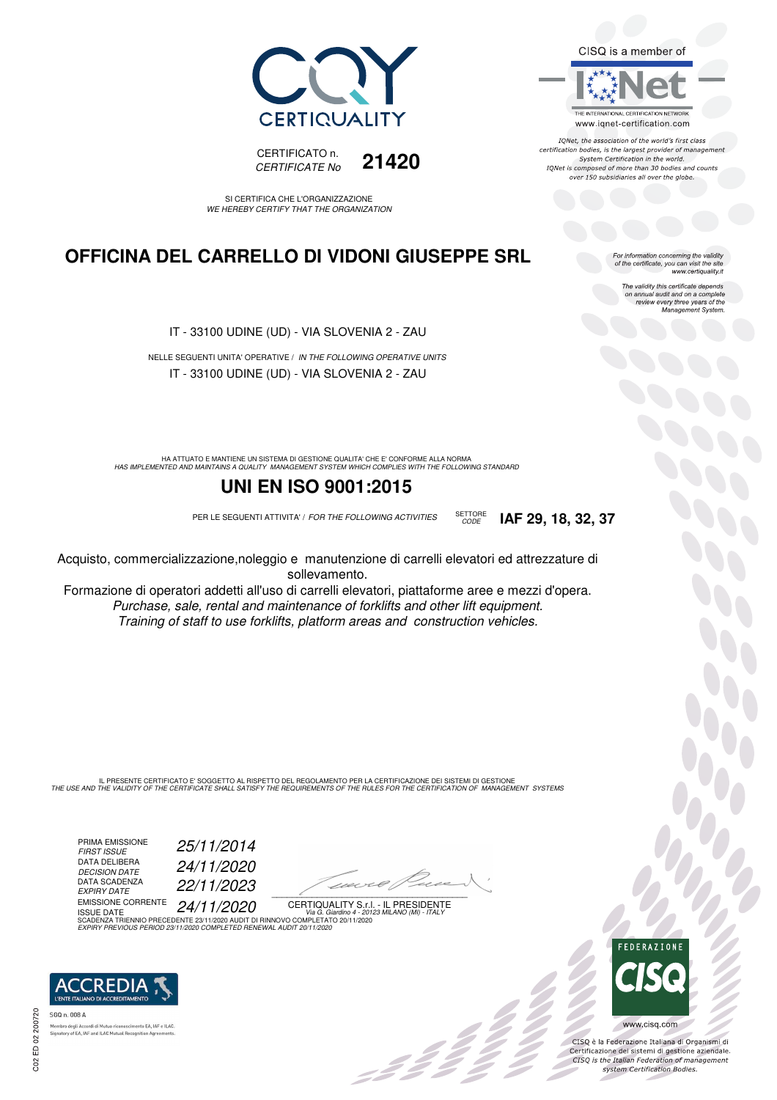



SI CERTIFICA CHE L'ORGANIZZAZIONE WE HEREBY CERTIFY THAT THE ORGANIZATION

### **OFFICINA DEL CARRELLO DI VIDONI GIUSEPPE SRL**

IT - 33100 UDINE (UD) - VIA SLOVENIA 2 - ZAU

NELLE SEGUENTI UNITA' OPERATIVE / IN THE FOLLOWING OPERATIVE UNITS IT - 33100 UDINE (UD) - VIA SLOVENIA 2 - ZAU

HA ATTUATO E MANTIENE UN SISTEMA DI GESTIONE QUALITA' CHE E' CONFORME ALLA NORMA<br>HAS IMPLEMENTED AND MAINTAINS A QUALITY MANAGEMENT SYSTEM WHICH COMPLIES WITH THE FOLLOWING STANDARD

#### **UNI EN ISO 9001:2015**

PER LE SEGUENTI ATTIVITA' / FOR THE FOLLOWING ACTIVITIES SETTORE

Acquisto, commercializzazione,noleggio e manutenzione di carrelli elevatori ed attrezzature di sollevamento.

Formazione di operatori addetti all'uso di carrelli elevatori, piattaforme aree e mezzi d'opera. Purchase, sale, rental and maintenance of forklifts and other lift equipment. Training of staff to use forklifts, platform areas and construction vehicles.

IL PRESENTE CERTIFICATO E' SOGGETTO AL RISPETTO DEL REGOLAMENTO PER LA CERTIFICAZIONE DEI SISTEMI DI GESTIONE<br>THE USE AND THE VALIDITY OF THE CERTIFICATE SHALL SATISFY THE REQUIREMENTS OF THE RULES FOR THE CERTIFICATION OF

PRIMA EMISSIONE<br>FIRST ISSUE DATA DELIBERA<br>DECISION DATE DATA SCADENZA<br>EXPIRY DATE

FIRST ISSUE 25/11/2014 DECISION DATE 24/11/2020 EXPIRY DATE 22/11/2023

EMISSIONE CORRENTE 24/**11/2020** 

 $\overline{\phantom{a}}$ 

BI C

CERTIQUALITY S.r.l. - IL PRESIDENTE ISSUE DATE<br>SCADENZA TRIENNIO PRECEDENTE 23/11/2020 AUDIT DI RINNOVO COMPLETATO 20/11/2020 EXPIRY PREVIOUS PERIOD 23/11/2020 COMPLETED RENEWAL AUDIT 20/11/2020



SGO n. 008 A tory of EA, IAF and ILAC Mutual Recogni CISQ is a member of

THE INTERNATIONAL CERTIFICATION NETWORK www.iqnet-certification.com

IONet, the association of the world's first class certification bodies, is the largest provider of management System Certification in the world. IQNet is composed of more than 30 bodies and counts over 150 subsidiaries all over the globe.

CODE **IAF 29, 18, 32, 37**

For information concerning the validity<br>of the certificate, you can visit the site<br>www.certiquality.it

The validity this certificate depends on annual audit and on a complete review every three years of the Management System.



CISQ è la Federazione Italiana di Organismi di Certificazione dei sistemi di gestione aziendale.<br>CISQ is the Italian Federation of management system Certification Bodies.